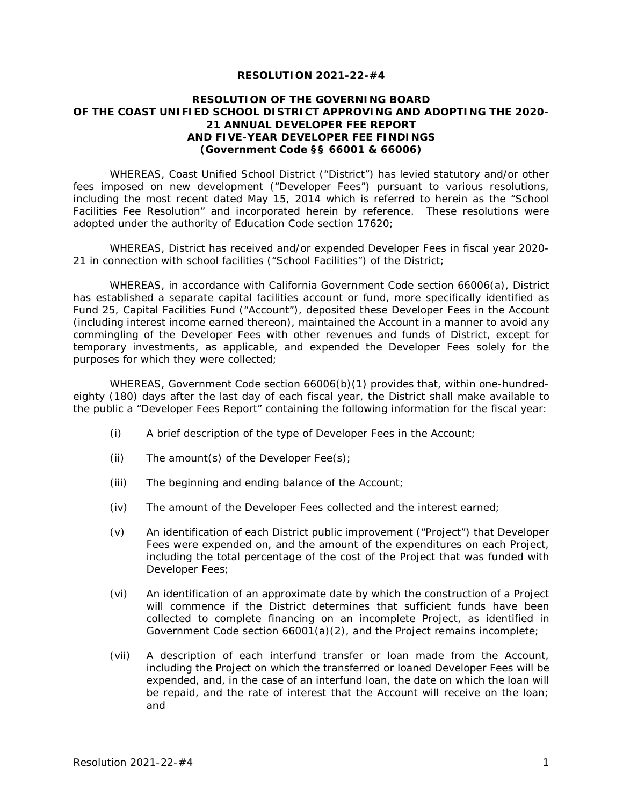#### **RESOLUTION 2021-22-#4**

### **RESOLUTION OF THE GOVERNING BOARD OF THE COAST UNIFIED SCHOOL DISTRICT APPROVING AND ADOPTING THE 2020- 21 ANNUAL DEVELOPER FEE REPORT AND FIVE-YEAR DEVELOPER FEE FINDINGS (Government Code §§ 66001 & 66006)**

WHEREAS, Coast Unified School District ("District") has levied statutory and/or other fees imposed on new development ("Developer Fees") pursuant to various resolutions, including the most recent dated May 15, 2014 which is referred to herein as the "School Facilities Fee Resolution" and incorporated herein by reference. These resolutions were adopted under the authority of Education Code section 17620;

WHEREAS, District has received and/or expended Developer Fees in fiscal year 2020- 21 in connection with school facilities ("School Facilities") of the District;

WHEREAS, in accordance with California Government Code section 66006(a), District has established a separate capital facilities account or fund, more specifically identified as Fund 25, Capital Facilities Fund ("Account"), deposited these Developer Fees in the Account (including interest income earned thereon), maintained the Account in a manner to avoid any commingling of the Developer Fees with other revenues and funds of District, except for temporary investments, as applicable, and expended the Developer Fees solely for the purposes for which they were collected;

WHEREAS, Government Code section 66006(b)(1) provides that, within one-hundredeighty (180) days after the last day of each fiscal year, the District shall make available to the public a "Developer Fees Report" containing the following information for the fiscal year:

- (i) A brief description of the type of Developer Fees in the Account;
- (ii) The amount(s) of the Developer  $\text{Fee(s)}$ ;
- (iii) The beginning and ending balance of the Account;
- (iv) The amount of the Developer Fees collected and the interest earned;
- (v) An identification of each District public improvement ("Project") that Developer Fees were expended on, and the amount of the expenditures on each Project, including the total percentage of the cost of the Project that was funded with Developer Fees;
- (vi) An identification of an approximate date by which the construction of a Project will commence if the District determines that sufficient funds have been collected to complete financing on an incomplete Project, as identified in Government Code section 66001(a)(2), and the Project remains incomplete;
- (vii) A description of each interfund transfer or loan made from the Account, including the Project on which the transferred or loaned Developer Fees will be expended, and, in the case of an interfund loan, the date on which the loan will be repaid, and the rate of interest that the Account will receive on the loan; and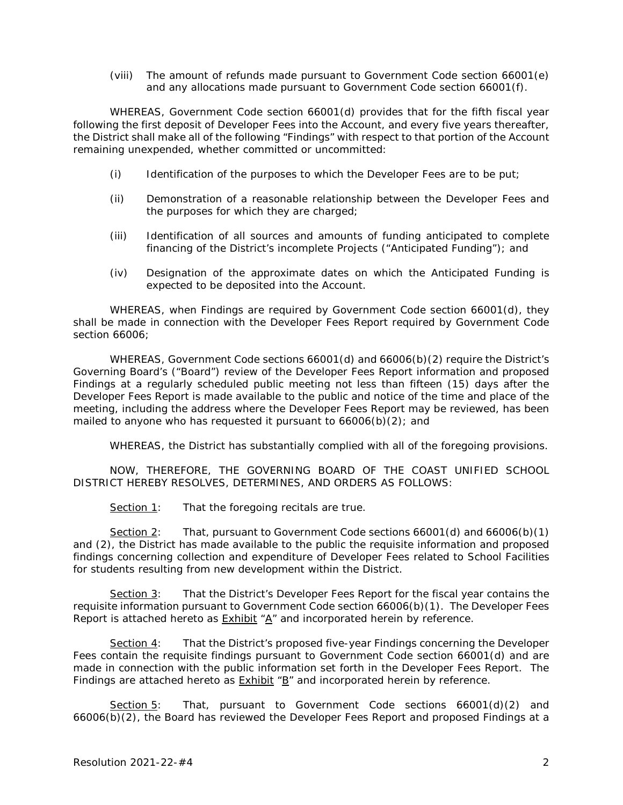(viii) The amount of refunds made pursuant to Government Code section 66001(e) and any allocations made pursuant to Government Code section 66001(f).

WHEREAS, Government Code section 66001(d) provides that for the fifth fiscal year following the first deposit of Developer Fees into the Account, and every five years thereafter, the District shall make all of the following "Findings" with respect to that portion of the Account remaining unexpended, whether committed or uncommitted:

- (i) Identification of the purposes to which the Developer Fees are to be put;
- (ii) Demonstration of a reasonable relationship between the Developer Fees and the purposes for which they are charged;
- (iii) Identification of all sources and amounts of funding anticipated to complete financing of the District's incomplete Projects ("Anticipated Funding"); and
- (iv) Designation of the approximate dates on which the Anticipated Funding is expected to be deposited into the Account.

WHEREAS, when Findings are required by Government Code section 66001(d), they shall be made in connection with the Developer Fees Report required by Government Code section 66006;

WHEREAS, Government Code sections 66001(d) and 66006(b)(2) require the District's Governing Board's ("Board") review of the Developer Fees Report information and proposed Findings at a regularly scheduled public meeting not less than fifteen (15) days after the Developer Fees Report is made available to the public and notice of the time and place of the meeting, including the address where the Developer Fees Report may be reviewed, has been mailed to anyone who has requested it pursuant to 66006(b)(2); and

WHEREAS, the District has substantially complied with all of the foregoing provisions.

NOW, THEREFORE, THE GOVERNING BOARD OF THE COAST UNIFIED SCHOOL DISTRICT HEREBY RESOLVES, DETERMINES, AND ORDERS AS FOLLOWS:

Section 1: That the foregoing recitals are true.

Section 2: That, pursuant to Government Code sections 66001(d) and 66006(b)(1) and (2), the District has made available to the public the requisite information and proposed findings concerning collection and expenditure of Developer Fees related to School Facilities for students resulting from new development within the District.

Section 3: That the District's Developer Fees Report for the fiscal year contains the requisite information pursuant to Government Code section 66006(b)(1). The Developer Fees Report is attached hereto as  $Exhibit * A''$  and incorporated herein by reference.

Section 4: That the District's proposed five-year Findings concerning the Developer Fees contain the requisite findings pursuant to Government Code section 66001(d) and are made in connection with the public information set forth in the Developer Fees Report. The Findings are attached hereto as  $Exhibit * B"$  and incorporated herein by reference.

Section 5: That, pursuant to Government Code sections 66001(d)(2) and 66006(b)(2), the Board has reviewed the Developer Fees Report and proposed Findings at a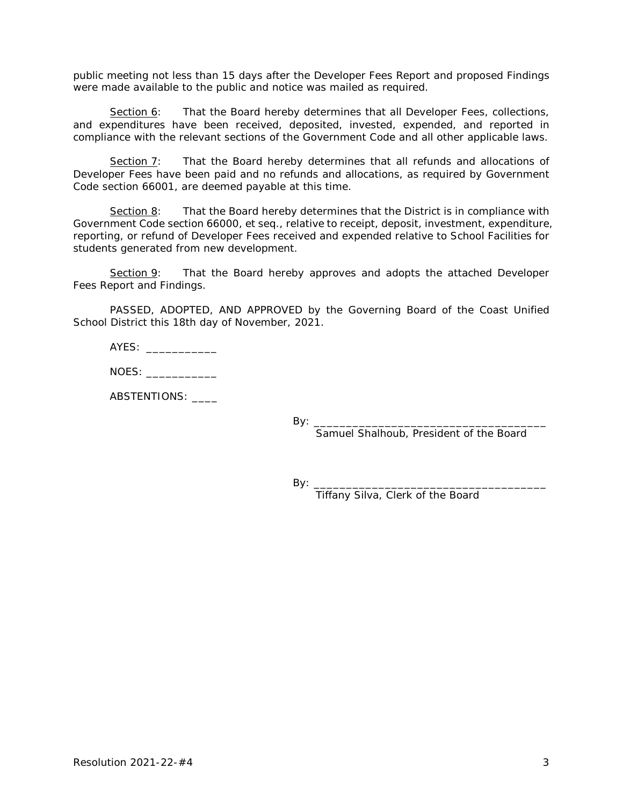public meeting not less than 15 days after the Developer Fees Report and proposed Findings were made available to the public and notice was mailed as required.

Section 6: That the Board hereby determines that all Developer Fees, collections, and expenditures have been received, deposited, invested, expended, and reported in compliance with the relevant sections of the Government Code and all other applicable laws.

Section 7: That the Board hereby determines that all refunds and allocations of Developer Fees have been paid and no refunds and allocations, as required by Government Code section 66001, are deemed payable at this time.

Section 8: That the Board hereby determines that the District is in compliance with Government Code section 66000, *et seq*., relative to receipt, deposit, investment, expenditure, reporting, or refund of Developer Fees received and expended relative to School Facilities for students generated from new development.

Section 9: That the Board hereby approves and adopts the attached Developer Fees Report and Findings.

PASSED, ADOPTED, AND APPROVED by the Governing Board of the Coast Unified School District this 18th day of November, 2021.

| AYES: |  |
|-------|--|
|       |  |

NOES:

ABSTENTIONS:

By: \_\_\_\_\_\_\_\_\_\_\_\_\_\_\_\_\_\_\_\_\_\_\_\_\_\_\_\_\_\_\_\_\_\_\_\_

Samuel Shalhoub, President of the Board

 $By: \_$ 

Tiffany Silva, Clerk of the Board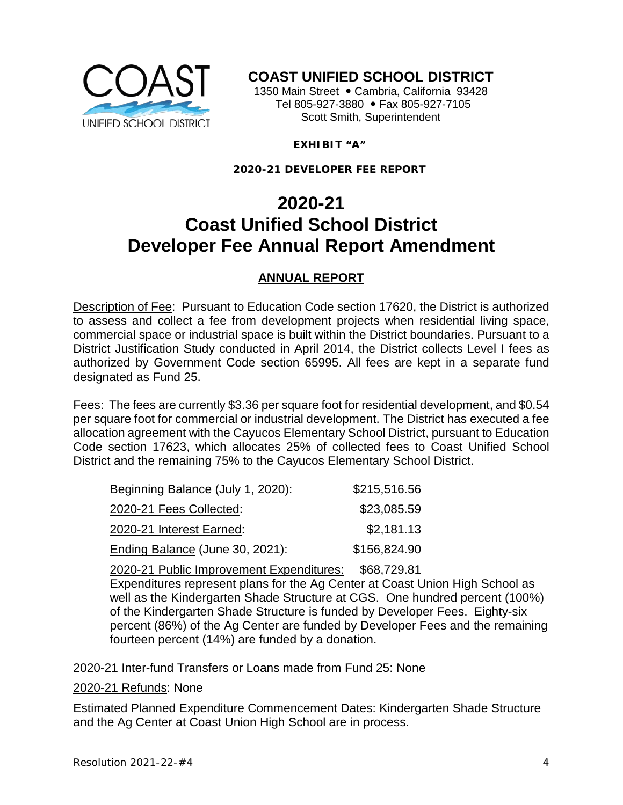

**COAST UNIFIED SCHOOL DISTRICT**

1350 Main Street · Cambria, California 93428 Tel 805-927-3880 • Fax 805-927-7105 Scott Smith, Superintendent

## **EXHIBIT "A"**

**2020-21 DEVELOPER FEE REPORT**

# **2020-21 Coast Unified School District Developer Fee Annual Report Amendment**

## **ANNUAL REPORT**

Description of Fee: Pursuant to Education Code section 17620, the District is authorized to assess and collect a fee from development projects when residential living space, commercial space or industrial space is built within the District boundaries. Pursuant to a District Justification Study conducted in April 2014, the District collects Level I fees as authorized by Government Code section 65995. All fees are kept in a separate fund designated as Fund 25.

Fees: The fees are currently \$3.36 per square foot for residential development, and \$0.54 per square foot for commercial or industrial development. The District has executed a fee allocation agreement with the Cayucos Elementary School District, pursuant to Education Code section 17623, which allocates 25% of collected fees to Coast Unified School District and the remaining 75% to the Cayucos Elementary School District.

| Beginning Balance (July 1, 2020): | \$215,516.56 |
|-----------------------------------|--------------|
| 2020-21 Fees Collected:           | \$23,085.59  |
| 2020-21 Interest Earned:          | \$2,181.13   |
| Ending Balance (June 30, 2021):   | \$156,824.90 |

2020-21 Public Improvement Expenditures: \$68,729.81 Expenditures represent plans for the Ag Center at Coast Union High School as well as the Kindergarten Shade Structure at CGS. One hundred percent (100%) of the Kindergarten Shade Structure is funded by Developer Fees. Eighty-six percent (86%) of the Ag Center are funded by Developer Fees and the remaining fourteen percent (14%) are funded by a donation.

2020-21 Inter-fund Transfers or Loans made from Fund 25: None

2020-21 Refunds: None

Estimated Planned Expenditure Commencement Dates: Kindergarten Shade Structure and the Ag Center at Coast Union High School are in process.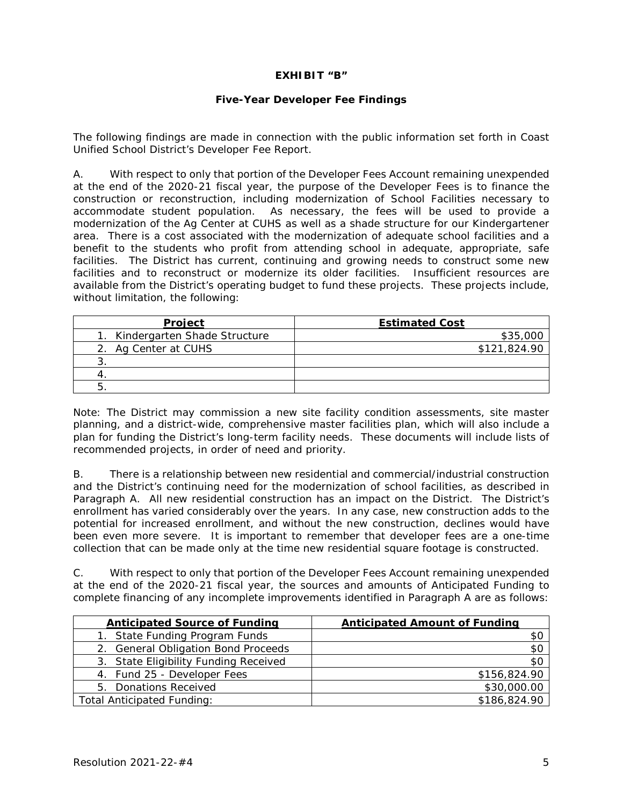### **EXHIBIT "B"**

### **Five-Year Developer Fee Findings**

The following findings are made in connection with the public information set forth in Coast Unified School District's Developer Fee Report.

A. With respect to only that portion of the Developer Fees Account remaining unexpended at the end of the 2020-21 fiscal year, the purpose of the Developer Fees is to finance the construction or reconstruction, including modernization of School Facilities necessary to accommodate student population. As necessary, the fees will be used to provide a modernization of the Ag Center at CUHS as well as a shade structure for our Kindergartener area. There is a cost associated with the modernization of adequate school facilities and a benefit to the students who profit from attending school in adequate, appropriate, safe facilities. The District has current, continuing and growing needs to construct some new facilities and to reconstruct or modernize its older facilities. Insufficient resources are available from the District's operating budget to fund these projects. These projects include, without limitation, the following:

| Project                         | <b>Estimated Cost</b> |
|---------------------------------|-----------------------|
| 1. Kindergarten Shade Structure | \$35,000              |
| 2. Ag Center at CUHS            | \$121,824.90          |
|                                 |                       |
|                                 |                       |
| J.                              |                       |

Note: The District may commission a new site facility condition assessments, site master planning, and a district-wide, comprehensive master facilities plan, which will also include a plan for funding the District's long-term facility needs. These documents will include lists of recommended projects, in order of need and priority.

B. There is a relationship between new residential and commercial/industrial construction and the District's continuing need for the modernization of school facilities, as described in Paragraph A. All new residential construction has an impact on the District. The District's enrollment has varied considerably over the years. In any case, new construction adds to the potential for increased enrollment, and without the new construction, declines would have been even more severe. It is important to remember that developer fees are a one-time collection that can be made only at the time new residential square footage is constructed.

C. With respect to only that portion of the Developer Fees Account remaining unexpended at the end of the 2020-21 fiscal year, the sources and amounts of Anticipated Funding to complete financing of any incomplete improvements identified in Paragraph A are as follows:

| <b>Anticipated Source of Funding</b>  | <b>Anticipated Amount of Funding</b> |
|---------------------------------------|--------------------------------------|
| State Funding Program Funds           | \$С                                  |
| 2. General Obligation Bond Proceeds   | \$0                                  |
| 3. State Eligibility Funding Received | \$0                                  |
| 4. Fund 25 - Developer Fees           | \$156,824.90                         |
| 5. Donations Received                 | \$30,000.00                          |
| <b>Total Anticipated Funding:</b>     | \$186,824.90                         |